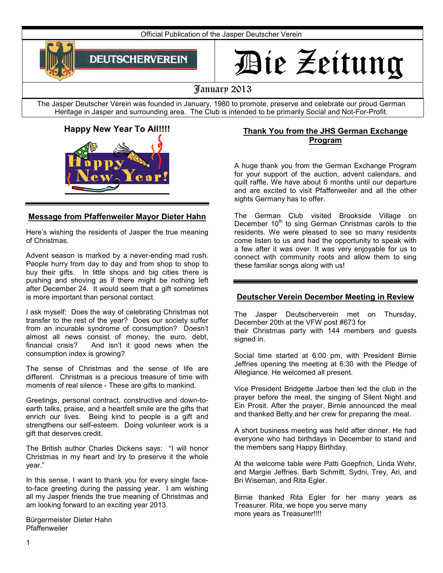Official Publication of the Jasper Deutscher Verein



# Die Zeitung

# January 2013

The Jasper Deutscher Verein was founded in January, 1980 to promote, preserve and celebrate our proud German Heritage in Jasper and surrounding area. The Club is intended to be primarily Social and Not-For-Profit.

# **Happy New Year To All!!!!**



## **Message from Pfaffenweiler Mayor Dieter Hahn**

Here's wishing the residents of Jasper the true meaning of Christmas.

Advent season is marked by a never-ending mad rush. People hurry from day to day and from shop to shop to buy their gifts. In little shops and big cities there is pushing and shoving as if there might be nothing left after December 24. It would seem that a gift sometimes is more important than personal contact.

I ask myself: Does the way of celebrating Christmas not transfer to the rest of the year? Does our society suffer from an incurable syndrome of consumption? Doesn't almost all news consist of money, the euro, debt, financial crisis? And isn't it good news when the consumption index is growing?

The sense of Christmas and the sense of life are different. Christmas is a precious treasure of time with moments of real silence - These are gifts to mankind.

Greetings, personal contract, constructive and down-toearth talks, praise, and a heartfelt smile are the gifts that enrich our lives. Being kind to people is a gift and strengthens our self-esteem. Doing volunteer work is a gift that deserves credit.

The British author Charles Dickens says: "I will honor Christmas in my heart and try to preserve it the whole year."

In this sense, I want to thank you for every single faceto-face greeting during the passing year. I am wishing all my Jasper friends the true meaning of Christmas and am looking forward to an exciting year 2013.

Bürgermeister Dieter Hahn Pfaffenweiler

#### **Thank You from the JHS German Exchange Program**

A huge thank you from the German Exchange Program for your support of the auction, advent calendars, and quilt raffle. We have about 6 months until our departure and are excited to visit Pfaffenweiler and all the other sights Germany has to offer.

The German Club visited Brookside Village on December  $10<sup>th</sup>$  to sing German Christmas carols to the residents. We were pleased to see so many residents come listen to us and had the opportunity to speak with a few after it was over. It was very enjoyable for us to connect with community roots and allow them to sing these familiar songs along with us!

## **Deutscher Verein December Meeting in Review**

The Jasper Deutscherverein met on Thursday, December 20th at the VFW post #673 for their Christmas party with 144 members and guests signed in.

Social time started at 6:00 pm, with President Birnie Jeffries opening the meeting at 6:30 with the Pledge of Allegiance. He welcomed all present.

Vice President Bridgette Jarboe then led the club in the prayer before the meal, the singing of Silent Night and Ein Prosit. After the prayer, Birnie announced the meal and thanked Betty and her crew for preparing the meal.

A short business meeting was held after dinner. He had everyone who had birthdays in December to stand and the members sang Happy Birthday.

At the welcome table were Patti Goepfrich, Linda Wehr, and Margie Jeffries. Barb Schmitt, Sydni, Trey, Ari, and Bri Wiseman, and Rita Egler.

Birnie thanked Rita Egler for her many years as Treasurer. Rita, we hope you serve many more years as Treasurer!!!!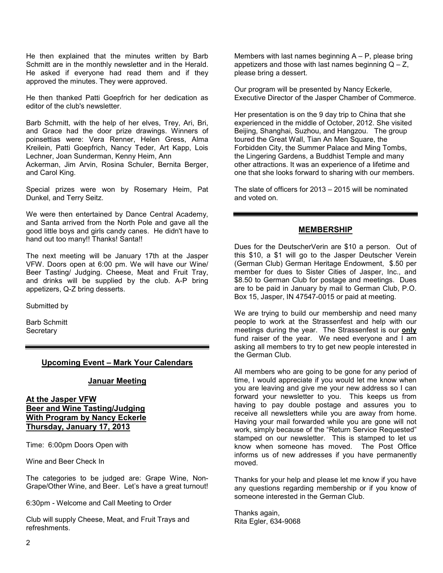He then explained that the minutes written by Barb Schmitt are in the monthly newsletter and in the Herald. He asked if everyone had read them and if they approved the minutes. They were approved.

He then thanked Patti Goepfrich for her dedication as editor of the club's newsletter.

Barb Schmitt, with the help of her elves, Trey, Ari, Bri, and Grace had the door prize drawings. Winners of poinsettias were: Vera Renner, Helen Gress, Alma Kreilein, Patti Goepfrich, Nancy Teder, Art Kapp, Lois Lechner, Joan Sunderman, Kenny Heim, Ann Ackerman, Jim Arvin, Rosina Schuler, Bernita Berger, and Carol King.

Special prizes were won by Rosemary Heim, Pat Dunkel, and Terry Seitz.

We were then entertained by Dance Central Academy, and Santa arrived from the North Pole and gave all the good little boys and girls candy canes. He didn't have to hand out too many!! Thanks! Santa!!

The next meeting will be January 17th at the Jasper VFW. Doors open at 6:00 pm. We will have our Wine/ Beer Tasting/ Judging. Cheese, Meat and Fruit Tray, and drinks will be supplied by the club. A-P bring appetizers, Q-Z bring desserts.

Submitted by

Barb Schmitt **Secretary** 

#### **Upcoming Event – Mark Your Calendars**

#### **Januar Meeting**

#### **At the Jasper VFW Beer and Wine Tasting/Judging With Program by Nancy Eckerle Thursday, January 17, 2013**

Time: 6:00pm Doors Open with

Wine and Beer Check In

The categories to be judged are: Grape Wine, Non-Grape/Other Wine, and Beer. Let's have a great turnout!

6:30pm - Welcome and Call Meeting to Order

Club will supply Cheese, Meat, and Fruit Trays and refreshments.

Members with last names beginning  $A - P$ , please bring appetizers and those with last names beginning  $Q - Z$ , please bring a dessert.

Our program will be presented by Nancy Eckerle, Executive Director of the Jasper Chamber of Commerce.

Her presentation is on the 9 day trip to China that she experienced in the middle of October, 2012. She visited Beijing, Shanghai, Suzhou, and Hangzou. The group toured the Great Wall, Tian An Men Square, the Forbidden City, the Summer Palace and Ming Tombs, the Lingering Gardens, a Buddhist Temple and many other attractions. It was an experience of a lifetime and one that she looks forward to sharing with our members.

The slate of officers for 2013 – 2015 will be nominated and voted on.

#### **MEMBERSHIP**

Dues for the DeutscherVerin are \$10 a person. Out of this \$10, a \$1 will go to the Jasper Deutscher Verein (German Club) German Heritage Endowment, \$.50 per member for dues to Sister Cities of Jasper, Inc., and \$8.50 to German Club for postage and meetings. Dues are to be paid in January by mail to German Club, P.O. Box 15, Jasper, IN 47547-0015 or paid at meeting.

We are trying to build our membership and need many people to work at the Strassenfest and help with our meetings during the year. The Strassenfest is our **only**  fund raiser of the year. We need everyone and I am asking all members to try to get new people interested in the German Club.

All members who are going to be gone for any period of time, I would appreciate if you would let me know when you are leaving and give me your new address so I can forward your newsletter to you. This keeps us from having to pay double postage and assures you to receive all newsletters while you are away from home. Having your mail forwarded while you are gone will not work, simply because of the "Return Service Requested" stamped on our newsletter. This is stamped to let us know when someone has moved. The Post Office informs us of new addresses if you have permanently moved.

Thanks for your help and please let me know if you have any questions regarding membership or if you know of someone interested in the German Club.

Thanks again, Rita Egler, 634-9068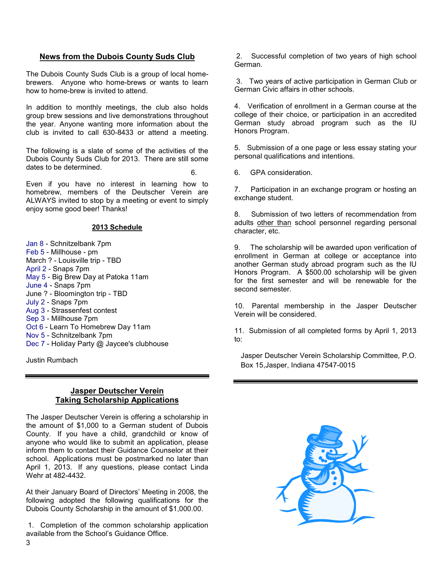#### **News from the Dubois County Suds Club**

The Dubois County Suds Club is a group of local homebrewers. Anyone who home-brews or wants to learn how to home-brew is invited to attend.

In addition to monthly meetings, the club also holds group brew sessions and live demonstrations throughout the year. Anyone wanting more information about the club is invited to call 630-8433 or attend a meeting.

The following is a slate of some of the activities of the Dubois County Suds Club for 2013. There are still some dates to be determined.

Even if you have no interest in learning how to homebrew, members of the Deutscher Verein are ALWAYS invited to stop by a meeting or event to simply enjoy some good beer! Thanks!

#### **2013 Schedule**

Jan 8 - Schnitzelbank 7pm Feb 5 - Millhouse - pm March ? - Louisville trip - TBD April 2 - Snaps 7pm May 5 - Big Brew Day at Patoka 11am June 4 - Snaps 7pm June ? - Bloomington trip - TBD July 2 - Snaps 7pm Aug 3 - Strassenfest contest Sep 3 - Millhouse 7pm Oct 6 - Learn To Homebrew Day 11am Nov 5 - Schnitzelbank 7pm Dec 7 - Holiday Party @ Jaycee's clubhouse

Justin Rumbach

#### **Jasper Deutscher Verein Taking Scholarship Applications**

The Jasper Deutscher Verein is offering a scholarship in the amount of \$1,000 to a German student of Dubois County. If you have a child, grandchild or know of anyone who would like to submit an application, please inform them to contact their Guidance Counselor at their school. Applications must be postmarked no later than April 1, 2013. If any questions, please contact Linda Wehr at 482-4432.

At their January Board of Directors' Meeting in 2008, the following adopted the following qualifications for the Dubois County Scholarship in the amount of \$1,000.00.

 1. Completion of the common scholarship application available from the School's Guidance Office.

 2. Successful completion of two years of high school German.

 3. Two years of active participation in German Club or German Civic affairs in other schools.

4. Verification of enrollment in a German course at the college of their choice, or participation in an accredited German study abroad program such as the IU Honors Program.

5. Submission of a one page or less essay stating your personal qualifications and intentions.

6. 6. GPA consideration.

7. Participation in an exchange program or hosting an exchange student.

8. Submission of two letters of recommendation from adults other than school personnel regarding personal character, etc.

9. The scholarship will be awarded upon verification of enrollment in German at college or acceptance into another German study abroad program such as the IU Honors Program. A \$500.00 scholarship will be given for the first semester and will be renewable for the second semester.

10. Parental membership in the Jasper Deutscher Verein will be considered.

11. Submission of all completed forms by April 1, 2013 to:

Jasper Deutscher Verein Scholarship Committee, P.O. Box 15,Jasper, Indiana 47547-0015

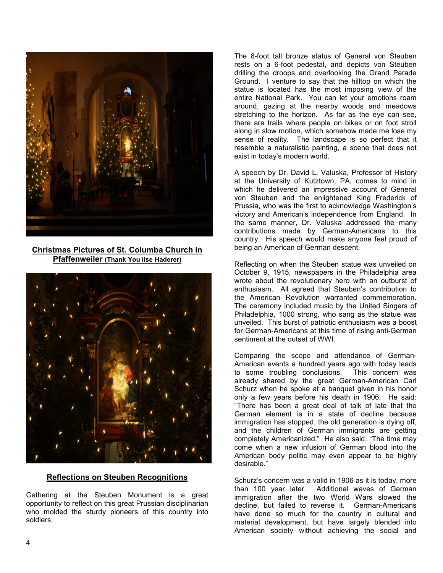

**Christmas Pictures of St. Columba Church in Pfaffenweiler (Thank You Ilse Haderer)** 



#### **Reflections on Steuben Recognitions**

Gathering at the Steuben Monument is a great opportunity to reflect on this great Prussian disciplinarian who molded the sturdy pioneers of this country into soldiers.

The 8-foot tall bronze status of General von Steuben rests on a 6-foot pedestal, and depicts von Steuben drilling the droops and overlooking the Grand Parade Ground. I venture to say that the hilltop on which the statue is located has the most imposing view of the entire National Park. You can let your emotions roam around, gazing at the nearby woods and meadows stretching to the horizon. As far as the eye can see, there are trails where people on bikes or on foot stroll along in slow motion, which somehow made me lose my sense of reality. The landscape is so perfect that it resemble a naturalistic painting, a scene that does not exist in today's modern world.

A speech by Dr. David L. Valuska, Professor of History at the University of Kutztown, PA, comes to mind in which he delivered an impressive account of General von Steuben and the enlightened King Frederick of Prussia, who was the first to acknowledge Washington's victory and American's independence from England. In the same manner, Dr. Valuska addressed the many contributions made by German-Americans to this country. His speech would make anyone feel proud of being an American of German descent.

Reflecting on when the Steuben statue was unveiled on October 9, 1915, newspapers in the Philadelphia area wrote about the revolutionary hero with an outburst of enthusiasm. All agreed that Steuben's contribution to the American Revolution warranted commemoration. The ceremony included music by the United Singers of Philadelphia, 1000 strong, who sang as the statue was unveiled. This burst of patriotic enthusiasm was a boost for German-Americans at this time of rising anti-German sentiment at the outset of WWI.

Comparing the scope and attendance of German-American events a hundred years ago with today leads to some troubling conclusions. This concern was already shared by the great German-American Carl Schurz when he spoke at a banquet given in his honor only a few years before his death in 1906. He said: "There has been a great deal of talk of late that the German element is in a state of decline because immigration has stopped, the old generation is dying off, and the children of German immigrants are getting completely Americanized." He also said: "The time may come when a new infusion of German blood into the American body politic may even appear to be highly desirable."

Schurz's concern was a valid in 1906 as it is today, more than 100 year later. Additional waves of German immigration after the two World Wars slowed the decline, but failed to reverse it. German-Americans have done so much for the country in cultural and material development, but have largely blended into American society without achieving the social and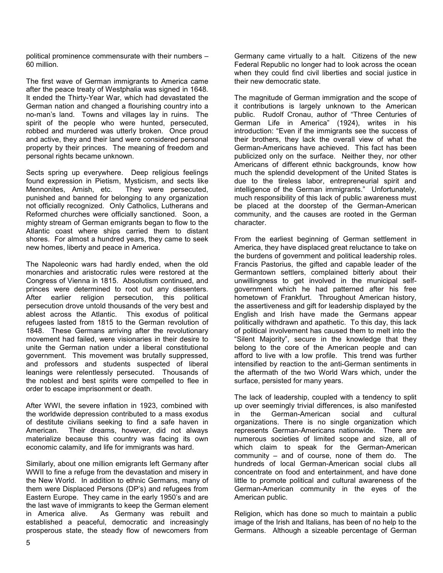political prominence commensurate with their numbers – 60 million.

The first wave of German immigrants to America came after the peace treaty of Westphalia was signed in 1648. It ended the Thirty-Year War, which had devastated the German nation and changed a flourishing country into a no-man's land. Towns and villages lay in ruins. The spirit of the people who were hunted, persecuted, robbed and murdered was utterly broken. Once proud and active, they and their land were considered personal property by their princes. The meaning of freedom and personal rights became unknown.

Sects spring up everywhere. Deep religious feelings found expression in Pietism, Mysticism, and sects like Mennonites, Amish, etc. They were persecuted, punished and banned for belonging to any organization not officially recognized. Only Catholics, Lutherans and Reformed churches were officially sanctioned. Soon, a mighty stream of German emigrants began to flow to the Atlantic coast where ships carried them to distant shores. For almost a hundred years, they came to seek new homes, liberty and peace in America.

The Napoleonic wars had hardly ended, when the old monarchies and aristocratic rules were restored at the Congress of Vienna in 1815. Absolutism continued, and princes were determined to root out any dissenters. After earlier religion persecution, this political persecution drove untold thousands of the very best and ablest across the Atlantic. This exodus of political refugees lasted from 1815 to the German revolution of 1848. These Germans arriving after the revolutionary movement had failed, were visionaries in their desire to unite the German nation under a liberal constitutional government. This movement was brutally suppressed, and professors and students suspected of liberal leanings were relentlessly persecuted. Thousands of the noblest and best spirits were compelled to flee in order to escape imprisonment or death.

After WWI, the severe inflation in 1923, combined with the worldwide depression contributed to a mass exodus of destitute civilians seeking to find a safe haven in American. Their dreams, however, did not always materialize because this country was facing its own economic calamity, and life for immigrants was hard.

Similarly, about one million emigrants left Germany after WWII to fine a refuge from the devastation and misery in the New World. In addition to ethnic Germans, many of them were Displaced Persons (DP's) and refugees from Eastern Europe. They came in the early 1950's and are the last wave of immigrants to keep the German element in America alive. As Germany was rebuilt and established a peaceful, democratic and increasingly prosperous state, the steady flow of newcomers from

Germany came virtually to a halt. Citizens of the new Federal Republic no longer had to look across the ocean when they could find civil liberties and social justice in their new democratic state.

The magnitude of German immigration and the scope of it contributions is largely unknown to the American public. Rudolf Cronau, author of "Three Centuries of German Life in America" (1924), writes in his introduction: "Even if the immigrants see the success of their brothers, they lack the overall view of what the German-Americans have achieved. This fact has been publicized only on the surface. Neither they, nor other Americans of different ethnic backgrounds, know how much the splendid development of the United States is due to the tireless labor, entrepreneurial spirit and intelligence of the German immigrants." Unfortunately, much responsibility of this lack of public awareness must be placed at the doorstep of the German-American community, and the causes are rooted in the German character.

From the earliest beginning of German settlement in America, they have displaced great reluctance to take on the burdens of government and political leadership roles. Francis Pastorius, the gifted and capable leader of the Germantown settlers, complained bitterly about their unwillingness to get involved in the municipal selfgovernment which he had patterned after his free hometown of Frankfurt. Throughout American history, the assertiveness and gift for leadership displayed by the English and Irish have made the Germans appear politically withdrawn and apathetic. To this day, this lack of political involvement has caused them to melt into the "Silent Majority", secure in the knowledge that they belong to the core of the American people and can afford to live with a low profile. This trend was further intensified by reaction to the anti-German sentiments in the aftermath of the two World Wars which, under the surface, persisted for many years.

The lack of leadership, coupled with a tendency to split up over seemingly trivial differences, is also manifested<br>in the German-American social and cultural  $in$  the German-American social and organizations. There is no single organization which represents German-Americans nationwide. There are numerous societies of limited scope and size, all of which claim to speak for the German-American community – and of course, none of them do. The hundreds of local German-American social clubs all concentrate on food and entertainment, and have done little to promote political and cultural awareness of the German-American community in the eyes of the American public.

Religion, which has done so much to maintain a public image of the Irish and Italians, has been of no help to the Germans. Although a sizeable percentage of German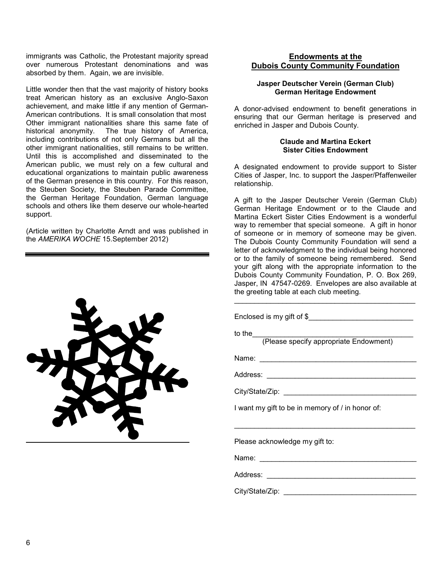immigrants was Catholic, the Protestant majority spread over numerous Protestant denominations and was absorbed by them. Again, we are invisible.

Little wonder then that the vast majority of history books treat American history as an exclusive Anglo-Saxon achievement, and make little if any mention of German-American contributions. It is small consolation that most Other immigrant nationalities share this same fate of historical anonymity. The true history of America, The true history of America, including contributions of not only Germans but all the other immigrant nationalities, still remains to be written. Until this is accomplished and disseminated to the American public, we must rely on a few cultural and educational organizations to maintain public awareness of the German presence in this country. For this reason, the Steuben Society, the Steuben Parade Committee, the German Heritage Foundation, German language schools and others like them deserve our whole-hearted support.

(Article written by Charlotte Arndt and was published in the *AMERIKA WOCHE* 15.September 2012)



#### **Endowments at the Dubois County Community Foundation**

#### **Jasper Deutscher Verein (German Club) German Heritage Endowment**

A donor-advised endowment to benefit generations in ensuring that our German heritage is preserved and enriched in Jasper and Dubois County.

#### **Claude and Martina Eckert Sister Cities Endowment**

A designated endowment to provide support to Sister Cities of Jasper, Inc. to support the Jasper/Pfaffenweiler relationship.

A gift to the Jasper Deutscher Verein (German Club) German Heritage Endowment or to the Claude and Martina Eckert Sister Cities Endowment is a wonderful way to remember that special someone. A gift in honor of someone or in memory of someone may be given. The Dubois County Community Foundation will send a letter of acknowledgment to the individual being honored or to the family of someone being remembered. Send your gift along with the appropriate information to the Dubois County Community Foundation, P. O. Box 269, Jasper, IN 47547-0269. Envelopes are also available at the greeting table at each club meeting.

\_\_\_\_\_\_\_\_\_\_\_\_\_\_\_\_\_\_\_\_\_\_\_\_\_\_\_\_\_\_\_\_\_\_\_\_\_\_\_\_\_\_\_\_\_

Enclosed is my gift of \$\_\_\_\_\_\_\_\_\_\_\_\_\_\_\_\_\_\_\_\_\_\_\_\_\_\_

to the\_\_\_\_\_\_\_\_\_\_\_\_\_\_\_\_\_\_\_\_\_\_\_\_\_\_\_\_\_\_\_\_\_\_\_\_\_\_\_\_

(Please specify appropriate Endowment)

Name: \_\_\_\_\_\_\_\_\_\_\_\_\_\_\_\_\_\_\_\_\_\_\_\_\_\_\_\_\_\_\_\_\_\_\_\_\_\_\_

Address: \_\_\_\_\_\_\_\_\_\_\_\_\_\_\_\_\_\_\_\_\_\_\_\_\_\_\_\_\_\_\_\_\_\_\_\_\_

City/State/Zip: \_\_\_\_\_\_\_\_\_\_\_\_\_\_\_\_\_\_\_\_\_\_\_\_\_\_\_\_\_\_\_\_\_

I want my gift to be in memory of / in honor of:

\_\_\_\_\_\_\_\_\_\_\_\_\_\_\_\_\_\_\_\_\_\_\_\_\_\_\_\_\_\_\_\_\_\_\_\_\_\_\_\_\_\_\_\_\_

Please acknowledge my gift to:

Name: \_\_\_\_\_\_\_\_\_\_\_\_\_\_\_\_\_\_\_\_\_\_\_\_\_\_\_\_\_\_\_\_\_\_\_\_\_\_\_

Address: \_\_\_\_\_\_\_\_\_\_\_\_\_\_\_\_\_\_\_\_\_\_\_\_\_\_\_\_\_\_\_\_\_\_\_\_\_

City/State/Zip: \_\_\_\_\_\_\_\_\_\_\_\_\_\_\_\_\_\_\_\_\_\_\_\_\_\_\_\_\_\_\_\_\_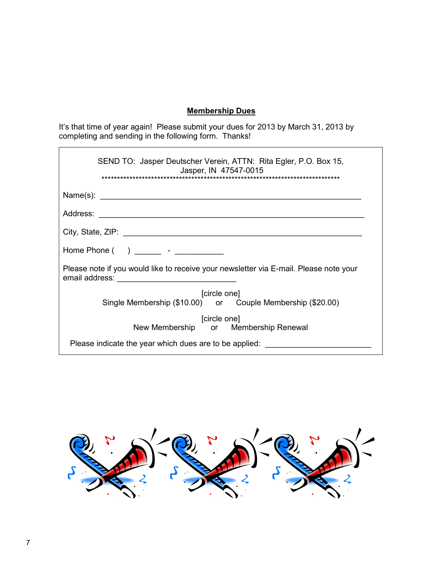## **Membership Dues**

It's that time of year again! Please submit your dues for 2013 by March 31, 2013 by completing and sending in the following form. Thanks!

| SEND TO: Jasper Deutscher Verein, ATTN: Rita Egler, P.O. Box 15,<br>Jasper, IN 47547-0015 |
|-------------------------------------------------------------------------------------------|
|                                                                                           |
|                                                                                           |
|                                                                                           |
|                                                                                           |
| Please note if you would like to receive your newsletter via E-mail. Please note your     |
| [circle one]<br>Single Membership (\$10.00) or Couple Membership (\$20.00)                |
| [circle one]                                                                              |
| New Membership or Membership Renewal                                                      |
| Please indicate the year which dues are to be applied:                                    |